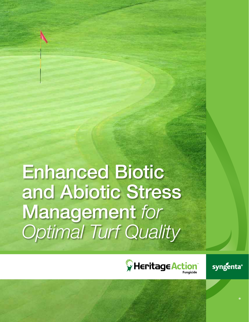Enhanced Biotic and Abiotic Stress Management *for Optimal Turf Quality*



syngenta®

®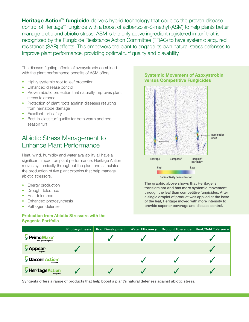**Heritage Action<sup>™</sup> fungicide** delivers hybrid technology that couples the proven disease control of Heritage™ fungicide with a boost of acibenzolar-S-methyl (ASM) to help plants better manage biotic and abiotic stress. ASM is the only active ingredient registered in turf that is recognized by the Fungicide Resistance Action Committee (FRAC) to have systemic acquired resistance (SAR) effects. This empowers the plant to engage its own natural stress defenses to improve plant performance, providing optimal turf quality and playability.

The disease-fighting effects of azoxystrobin combined with the plant performance benefits of ASM offers:

- Highly systemic root to leaf protection
- Enhanced disease control
- Proven abiotic protection that naturally improves plant stress tolerance
- Protection of plant roots against diseases resulting from nematode damage
- Excellent turf safety
- Best-in-class turf quality for both warm and coolseason turf

# Abiotic Stress Management to Enhance Plant Performance

Heat, wind, humidity and water availability all have a significant impact on plant performance. Heritage Action moves systemically throughout the plant and stimulates the production of five plant proteins that help manage abiotic stressors.

- **Energy production**
- Drought tolerance
- Heat tolerance
- Enhanced photosynthesis
- Pathogen defense

### **Protection from Abiotic Stressors with the Syngenta Portfolio**

### **Systemic Movement of Azoxystrobin versus Competitive Fungicides**



The graphic above shows that Heritage is translaminar and has more systemic movement

through the leaf than competitive fungicides. After a single droplet of product was applied at the base of the leaf, Heritage moved with more intensity to provide superior coverage and disease control.

|                                                   | <b>Photosynthesis</b> | Root Development | <b>Water Efficiency</b> | <b>Drought Tolerance</b> | <b>Heat/Cold Tolerance</b> |
|---------------------------------------------------|-----------------------|------------------|-------------------------|--------------------------|----------------------------|
| Primo Maxx <sup>+</sup><br>Plant growth regulator |                       |                  |                         |                          |                            |
| <b>\ppear*</b><br>Fungicide                       |                       |                  |                         |                          |                            |
| <b>Daconil Action</b><br>Fungicide                |                       |                  |                         |                          |                            |
| $\mathbf \hat{y}$ Heritage A<br>Fungicide         |                       |                  |                         |                          |                            |

Syngenta offers a range of products that help boost a plant's natural defenses against abiotic stress.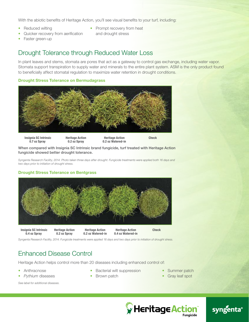With the abiotic benefits of Heritage Action, you'll see visual benefits to your turf, including:

- Reduced wilting
- Quicker recovery from aerification
- Prompt recovery from heat and drought stress
- Faster green-up

# Drought Tolerance through Reduced Water Loss

In plant leaves and stems, stomata are pores that act as a gateway to control gas exchange, including water vapor. Stomata support transpiration to supply water and minerals to the entire plant system. ASM is the only product found to beneficially affect stomatal regulation to maximize water retention in drought conditions.

### **Drought Stress Tolerance on Bermudagrass**



When compared with Insignia SC Intrinsic brand fungicide, turf treated with Heritage Action fungicide showed better drought tolerance.

*Syngenta Research Facility, 2014. Photo taken three days after drought. Fungicide treatments were applied both 16 days and two days prior to initiation of drought stress.*

#### **Drought Stress Tolerance on Bentgrass**



*Syngenta Research Facility, 2014. Fungicide treatments were applied 16 days and two days prior to initiation of drought stress.*

# Enhanced Disease Control

Heritage Action helps control more than 20 diseases including enhanced control of:

- **Anthracnose**
- *Pythium* diseases

• Bacterial wilt suppression

• Brown patch

• Summer patch • Gray leaf spot

*See label for additional diseases.*